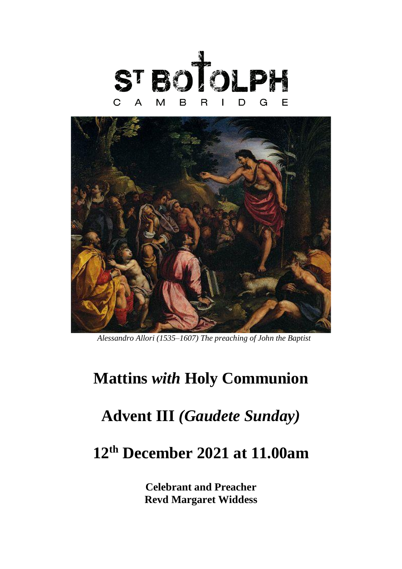



*Alessandro Allori (1535–1607) The preaching of John the Baptist*

## **Mattins** *with* **Holy Communion**

## **Advent III** *(Gaudete Sunday)*

## **12 th December 2021 at 11.00am**

**Celebrant and Preacher Revd Margaret Widdess**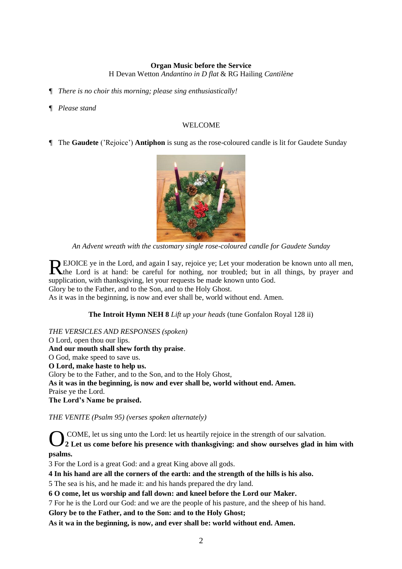#### **Organ Music before the Service** H Devan Wetton *Andantino in D flat* & RG Hailing *Cantilène*

*¶ There is no choir this morning; please sing enthusiastically!*

#### *¶ Please stand*

#### WELCOME

*¶* The **Gaudete** ('Rejoice') **Antiphon** is sung as the rose-coloured candle is lit for Gaudete Sunday



*An Advent wreath with the customary single rose-coloured candle for Gaudete Sunday*

EJOICE ye in the Lord, and again I say, rejoice ye; Let your moderation be known unto all men, REJOICE ye in the Lord, and again I say, rejoice ye; Let your moderation be known unto all men, the Lord is at hand: be careful for nothing, nor troubled; but in all things, by prayer and supplication, with thanksgiving, let your requests be made known unto God.

Glory be to the Father, and to the Son, and to the Holy Ghost.

As it was in the beginning, is now and ever shall be, world without end. Amen.

#### **The Introit Hymn NEH 8** *Lift up your heads* (tune Gonfalon Royal 128 ii)

#### *THE VERSICLES AND RESPONSES (spoken)*

O Lord, open thou our lips. **And our mouth shall shew forth thy praise**. O God, make speed to save us. **O Lord, make haste to help us.**  Glory be to the Father, and to the Son, and to the Holy Ghost, **As it was in the beginning, is now and ever shall be, world without end. Amen.**  Praise ye the Lord. **The Lord's Name be praised.** 

#### *THE VENITE (Psalm 95) (verses spoken alternately)*

COME, let us sing unto the Lord: let us heartily rejoice in the strength of our salvation. **2 Let us come before his presence with thanksgiving: and show ourselves glad in him with psalms.** O

3 For the Lord is a great God: and a great King above all gods.

**4 In his hand are all the corners of the earth: and the strength of the hills is his also.**

5 The sea is his, and he made it: and his hands prepared the dry land.

**6 O come, let us worship and fall down: and kneel before the Lord our Maker.**

7 For he is the Lord our God: and we are the people of his pasture, and the sheep of his hand.

**Glory be to the Father, and to the Son: and to the Holy Ghost;** 

**As it wa in the beginning, is now, and ever shall be: world without end. Amen.**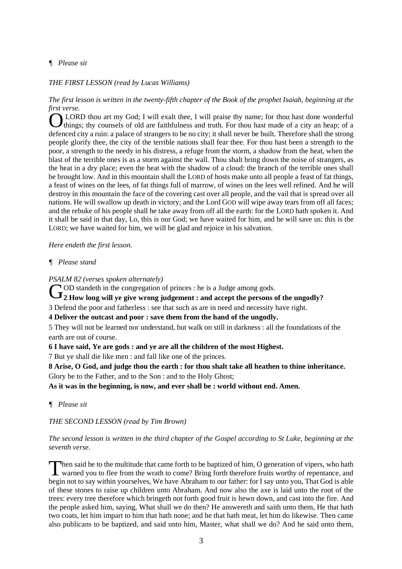## *¶ Please sit*

#### *THE FIRST LESSON (read by Lucas Williams)*

*The first lesson is written in the twenty-fifth chapter of the Book of the prophet Isaiah, beginning at the first verse.*

LORD thou art my God; I will exalt thee, I will praise thy name; for thou hast done wonderful things; thy counsels of old are faithfulness and truth. For thou hast made of a city an heap; of a defenced city a ruin: a palace of strangers to be no city; it shall never be built. Therefore shall the strong people glorify thee, the city of the terrible nations shall fear thee. For thou hast been a strength to the poor, a strength to the needy in his distress, a refuge from the storm, a shadow from the heat, when the blast of the terrible ones is as a storm against the wall. Thou shalt bring down the noise of strangers, as the heat in a dry place; even the heat with the shadow of a cloud: the branch of the terrible ones shall be brought low. And in this mountain shall the LORD of hosts make unto all people a feast of fat things, a feast of wines on the lees, of fat things full of marrow, of wines on the lees well refined. And he will destroy in this mountain the face of the covering cast over all people, and the vail that is spread over all nations. He will swallow up death in victory; and the Lord GOD will wipe away tears from off all faces; and the rebuke of his people shall he take away from off all the earth: for the LORD hath spoken it. And it shall be said in that day, Lo, this is our God; we have waited for him, and he will save us: this is the LORD; we have waited for him, we will be glad and rejoice in his salvation. **O** 

*Here endeth the first lesson.*

### *¶ Please stand*

*PSALM 82 (verses spoken alternately)*

OD standeth in the congregation of princes : he is a Judge among gods.

**2** How long will ye give wrong judgement : and accept the persons of the ungodly?

3 Defend the poor and fatherless : see that such as are in need and necessity have right.

**4 Deliver the outcast and poor : save them from the hand of the ungodly.**

5 They will not be learned nor understand, but walk on still in darkness : all the foundations of the earth are out of course.

**6 I have said, Ye are gods : and ye are all the children of the most Highest.**

7 But ye shall die like men : and fall like one of the princes.

**8 Arise, O God, and judge thou the earth : for thou shalt take all heathen to thine inheritance.** Glory be to the Father, and to the Son : and to the Holy Ghost;

**As it was in the beginning, is now, and ever shall be : world without end. Amen.**

*¶ Please sit*

*THE SECOND LESSON (read by Tim Brown)*

#### *The second lesson is written in the third chapter of the Gospel according to St Luke, beginning at the seventh verse.*

hen said he to the multitude that came forth to be baptized of him, O generation of vipers, who hath Then said he to the multitude that came forth to be baptized of him, O generation of vipers, who hath warned you to flee from the wrath to come? Bring forth therefore fruits worthy of repentance, and begin not to say within yourselves, We have Abraham to our father: for I say unto you, That God is able of these stones to raise up children unto Abraham. And now also the axe is laid unto the root of the trees: every tree therefore which bringeth not forth good fruit is hewn down, and cast into the fire. And the people asked him, saying, What shall we do then? He answereth and saith unto them, He that hath two coats, let him impart to him that hath none; and he that hath meat, let him do likewise. Then came also publicans to be baptized, and said unto him, Master, what shall we do? And he said unto them,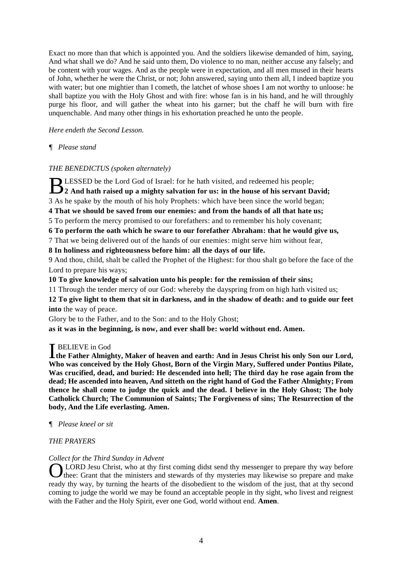Exact no more than that which is appointed you. And the soldiers likewise demanded of him, saying, And what shall we do? And he said unto them, Do violence to no man, neither accuse any falsely; and be content with your wages. And as the people were in expectation, and all men mused in their hearts of John, whether he were the Christ, or not; John answered, saying unto them all, I indeed baptize you with water; but one mightier than I cometh, the latchet of whose shoes I am not worthy to unloose: he shall baptize you with the Holy Ghost and with fire: whose fan is in his hand, and he will throughly purge his floor, and will gather the wheat into his garner; but the chaff he will burn with fire unquenchable. And many other things in his exhortation preached he unto the people.

*Here endeth the Second Lesson.*

### *¶ Please stand*

### *THE BENEDICTUS (spoken alternately)*

LESSED be the Lord God of Israel: for he hath visited, and redeemed his people; BLESSED be the Lord God of Israel: for he hath visited, and redeemed his people;<br>2 And hath raised up a mighty salvation for us: in the house of his servant David; 3 As he spake by the mouth of his holy Prophets: which have been since the world began;

**4 That we should be saved from our enemies: and from the hands of all that hate us;**

5 To perform the mercy promised to our forefathers: and to remember his holy covenant;

**6 To perform the oath which he sware to our forefather Abraham: that he would give us,**

7 That we being delivered out of the hands of our enemies: might serve him without fear,

**8 In holiness and righteousness before him: all the days of our life.**

9 And thou, child, shalt be called the Prophet of the Highest: for thou shalt go before the face of the Lord to prepare his ways;

**10 To give knowledge of salvation unto his people: for the remission of their sins;**

11 Through the tender mercy of our God: whereby the dayspring from on high hath visited us;

**12 To give light to them that sit in darkness, and in the shadow of death: and to guide our feet into** the way of peace.

Glory be to the Father, and to the Son: and to the Holy Ghost;

**as it was in the beginning, is now, and ever shall be: world without end. Amen.**

## **T** BELIEVE in God

**the Father Almighty, Maker of heaven and earth: And in Jesus Christ his only Son our Lord, Who was conceived by the Holy Ghost, Born of the Virgin Mary, Suffered under Pontius Pilate, Was crucified, dead, and buried: He descended into hell; The third day he rose again from the dead; He ascended into heaven, And sitteth on the right hand of God the Father Almighty; From thence he shall come to judge the quick and the dead. I believe in the Holy Ghost; The holy Catholick Church; The Communion of Saints; The Forgiveness of sins; The Resurrection of the body, And the Life everlasting. Amen.** 

### *¶ Please kneel or sit*

### *THE PRAYERS*

#### *Collect for the Third Sunday in Advent*

OLORD Jesu Christ, who at thy first coming didst send thy messenger to prepare thy way before thee: Grant that the ministers and stewards of thy mysteries may likewise so prepare and make thee: Grant that the ministers and stewards of thy mysteries may likewise so prepare and make ready thy way, by turning the hearts of the disobedient to the wisdom of the just, that at thy second coming to judge the world we may be found an acceptable people in thy sight, who livest and reignest with the Father and the Holy Spirit, ever one God, world without end. **Amen**.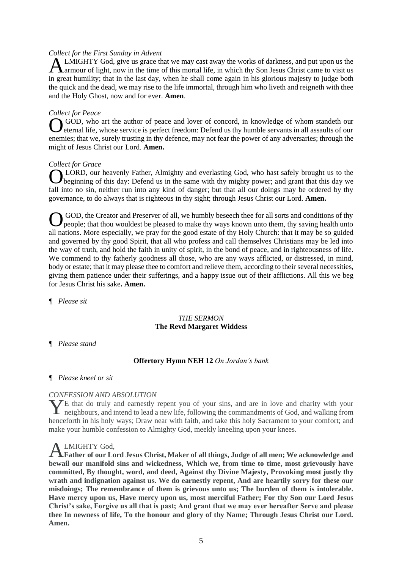#### *Collect for the First Sunday in Advent*

LMIGHTY God, give us grace that we may cast away the works of darkness, and put upon us the A LMIGHTY God, give us grace that we may cast away the works of darkness, and put upon us the armour of light, now in the time of this mortal life, in which thy Son Jesus Christ came to visit us in great humility; that in the last day, when he shall come again in his glorious majesty to judge both the quick and the dead, we may rise to the life immortal, through him who liveth and reigneth with thee and the Holy Ghost, now and for ever. **Amen**.

#### *Collect for Peace*

GOD, who art the author of peace and lover of concord, in knowledge of whom standeth our eternal life, whose service is perfect freedom: Defend us thy humble servants in all assaults of our enemies; that we, surely trusting in thy defence, may not fear the power of any adversaries; through the might of Jesus Christ our Lord. **Amen.** O

### *Collect for Grace*

**OLORD**, our heavenly Father, Almighty and everlasting God, who hast safely brought us to the beginning of this day: Defend us in the same with thy mighty power; and grant that this day we beginning of this day: Defend us in the same with thy mighty power; and grant that this day we fall into no sin, neither run into any kind of danger; but that all our doings may be ordered by thy governance, to do always that is righteous in thy sight; through Jesus Christ our Lord. **Amen.** 

GOD, the Creator and Preserver of all, we humbly beseech thee for all sorts and conditions of thy people; that thou wouldest be pleased to make thy ways known unto them, thy saving health unto all nations. More especially, we pray for the good estate of thy Holy Church: that it may be so guided and governed by thy good Spirit, that all who profess and call themselves Christians may be led into the way of truth, and hold the faith in unity of spirit, in the bond of peace, and in righteousness of life. We commend to thy fatherly goodness all those, who are any ways afflicted, or distressed, in mind, body or estate; that it may please thee to comfort and relieve them, according to their several necessities, giving them patience under their sufferings, and a happy issue out of their afflictions. All this we beg for Jesus Christ his sake**. Amen.**  O

*¶ Please sit*

### *THE SERMON* **The Revd Margaret Widdess**

*¶ Please stand*

### **Offertory Hymn NEH 12** *On Jordan's bank*

#### *¶ Please kneel or sit*

### *CONFESSION AND ABSOLUTION*

 $\overline{Z}$  that do truly and earnestly repent you of your sins, and are in love and charity with your The that do truly and earnestly repent you of your sins, and are in love and charity with your neighbours, and intend to lead a new life, following the commandments of God, and walking from henceforth in his holy ways; Draw near with faith, and take this holy Sacrament to your comfort; and make your humble confession to Almighty God, meekly kneeling upon your knees.

### LMIGHTY God,

A LMIGHTY God,<br>**Father of our Lord Jesus Christ, Maker of all things, Judge of all men; We acknowledge and bewail our manifold sins and wickedness, Which we, from time to time, most grievously have committed, By thought, word, and deed, Against thy Divine Majesty, Provoking most justly thy wrath and indignation against us. We do earnestly repent, And are heartily sorry for these our misdoings; The remembrance of them is grievous unto us; The burden of them is intolerable. Have mercy upon us, Have mercy upon us, most merciful Father; For thy Son our Lord Jesus Christ's sake, Forgive us all that is past; And grant that we may ever hereafter Serve and please thee In newness of life, To the honour and glory of thy Name; Through Jesus Christ our Lord. Amen.**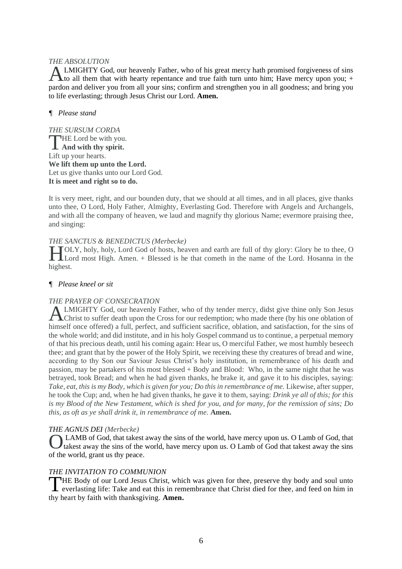#### *THE ABSOLUTION*

LMIGHTY God, our heavenly Father, who of his great mercy hath promised forgiveness of sins ALMIGHTY God, our heavenly Father, who of his great mercy hath promised forgiveness of sins to all them that with hearty repentance and true faith turn unto him; Have mercy upon you; + pardon and deliver you from all your sins; confirm and strengthen you in all goodness; and bring you to life everlasting; through Jesus Christ our Lord. **Amen.** 

## *¶ Please stand*

*THE SURSUM CORDA*  $\Box$ HE Lord be with you. THE Lord be with you Lift up your hearts. **We lift them up unto the Lord.** Let us give thanks unto our Lord God. **It is meet and right so to do.** 

It is very meet, right, and our bounden duty, that we should at all times, and in all places, give thanks unto thee, O Lord, Holy Father, Almighty, Everlasting God. Therefore with Angels and Archangels, and with all the company of heaven, we laud and magnify thy glorious Name; evermore praising thee, and singing:

#### *THE SANCTUS & BENEDICTUS (Merbecke)*

OLY, holy, holy, Lord God of hosts, heaven and earth are full of thy glory: Glory be to thee, O Lord most High. Amen. + Blessed is he that cometh in the name of the Lord. Hosanna in the highest.

### *¶ Please kneel or sit*

### *THE PRAYER OF CONSECRATION*

LMIGHTY God, our heavenly Father, who of thy tender mercy, didst give thine only Son Jesus<br>Christ to suffer death upon the Cross for our redemption; who made there (by his one oblation of **The Christ to suffer death upon the Cross for our redemption; who made there (by his one oblation of** himself once offered) a full, perfect, and sufficient sacrifice, oblation, and satisfaction, for the sins of the whole world; and did institute, and in his holy Gospel command us to continue, a perpetual memory of that his precious death, until his coming again: Hear us, O merciful Father, we most humbly beseech thee; and grant that by the power of the Holy Spirit, we receiving these thy creatures of bread and wine, according to thy Son our Saviour Jesus Christ's holy institution, in remembrance of his death and passion, may be partakers of his most blessed + Body and Blood: Who, in the same night that he was betrayed, took Bread; and when he had given thanks, he brake it, and gave it to his disciples, saying: *Take, eat, this is my Body, which is given for you; Do this in remembrance of me. Likewise, after supper,* he took the Cup; and, when he had given thanks, he gave it to them, saying: *Drink ye all of this; for this is my Blood of the New Testament, which is shed for you, and for many, for the remission of sins; Do this, as oft as ye shall drink it, in remembrance of me.* **Amen.**

#### *THE AGNUS DEI (Merbecke)*

LAMB of God, that takest away the sins of the world, have mercy upon us. O Lamb of God, that takest away the sins of the world, have mercy upon us. O Lamb of God that takest away the sins of the world, grant us thy peace. O

#### *THE INVITATION TO COMMUNION*

HE Body of our Lord Jesus Christ, which was given for thee, preserve thy body and soul unto THE Body of our Lord Jesus Christ, which was given for thee, preserve thy body and soul unto everlasting life: Take and eat this in remembrance that Christ died for thee, and feed on him in thy heart by faith with thanksgiving. **Amen.**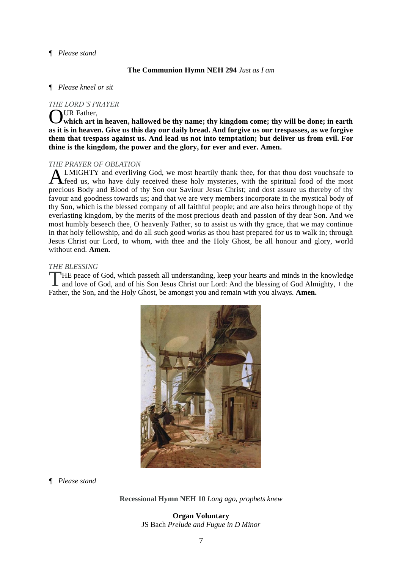#### *¶ Please stand*

#### **The Communion Hymn NEH 294** *Just as I am*

#### *¶ Please kneel or sit*

#### *THE LORD'S PRAYER*

OUR Father,<br>which art is **which art in heaven, hallowed be thy name; thy kingdom come; thy will be done; in earth as it is in heaven. Give us this day our daily bread. And forgive us our trespasses, as we forgive them that trespass against us. And lead us not into temptation; but deliver us from evil. For thine is the kingdom, the power and the glory, for ever and ever. Amen.**

#### *THE PRAYER OF OBLATION*

LMIGHTY and everliving God, we most heartily thank thee, for that thou dost vouchsafe to feed us, who have duly received these holy mysteries, with the spiritual food of the most precious Body and Blood of thy Son our Saviour Jesus Christ; and dost assure us thereby of thy favour and goodness towards us; and that we are very members incorporate in the mystical body of thy Son, which is the blessed company of all faithful people; and are also heirs through hope of thy everlasting kingdom, by the merits of the most precious death and passion of thy dear Son. And we most humbly beseech thee, O heavenly Father, so to assist us with thy grace, that we may continue in that holy fellowship, and do all such good works as thou hast prepared for us to walk in; through Jesus Christ our Lord, to whom, with thee and the Holy Ghost, be all honour and glory, world without end. **Amen.** A

#### *THE BLESSING*

HE peace of God, which passeth all understanding, keep your hearts and minds in the knowledge THE peace of God, which passeth all understanding, keep your hearts and minds in the knowledge and love of God, and of his Son Jesus Christ our Lord: And the blessing of God Almighty, + the Father, the Son, and the Holy Ghost, be amongst you and remain with you always. **Amen.**



*¶ Please stand*

**Recessional Hymn NEH 10** *Long ago, prophets knew*

**Organ Voluntary** JS Bach *Prelude and Fugue in D Minor*